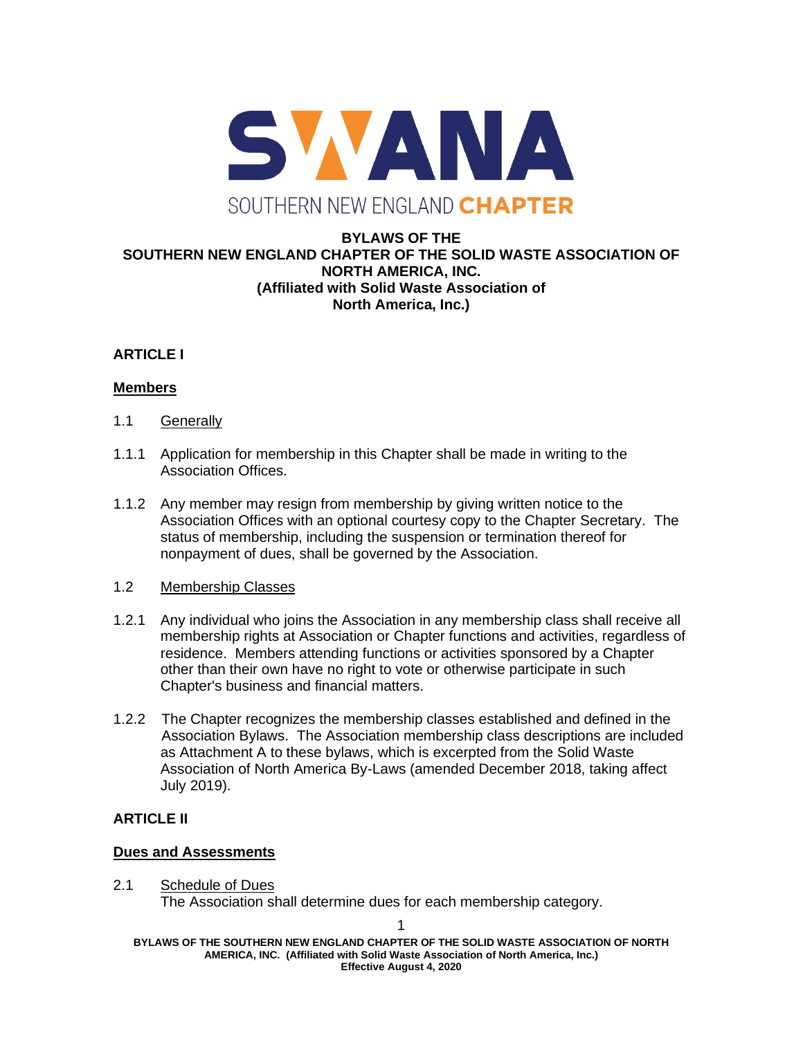

#### **BYLAWS OF THE SOUTHERN NEW ENGLAND CHAPTER OF THE SOLID WASTE ASSOCIATION OF NORTH AMERICA, INC. (Affiliated with Solid Waste Association of North America, Inc.)**

## **ARTICLE I**

#### **Members**

- 1.1 Generally
- 1.1.1 Application for membership in this Chapter shall be made in writing to the Association Offices.
- 1.1.2 Any member may resign from membership by giving written notice to the Association Offices with an optional courtesy copy to the Chapter Secretary. The status of membership, including the suspension or termination thereof for nonpayment of dues, shall be governed by the Association.

#### 1.2 Membership Classes

- 1.2.1 Any individual who joins the Association in any membership class shall receive all membership rights at Association or Chapter functions and activities, regardless of residence. Members attending functions or activities sponsored by a Chapter other than their own have no right to vote or otherwise participate in such Chapter's business and financial matters.
- 1.2.2 The Chapter recognizes the membership classes established and defined in the Association Bylaws. The Association membership class descriptions are included as Attachment A to these bylaws, which is excerpted from the Solid Waste Association of North America By-Laws (amended December 2018, taking affect July 2019).

## **ARTICLE II**

#### **Dues and Assessments**

2.1 Schedule of Dues The Association shall determine dues for each membership category.

**BYLAWS OF THE SOUTHERN NEW ENGLAND CHAPTER OF THE SOLID WASTE ASSOCIATION OF NORTH AMERICA, INC. (Affiliated with Solid Waste Association of North America, Inc.) Effective August 4, 2020**

1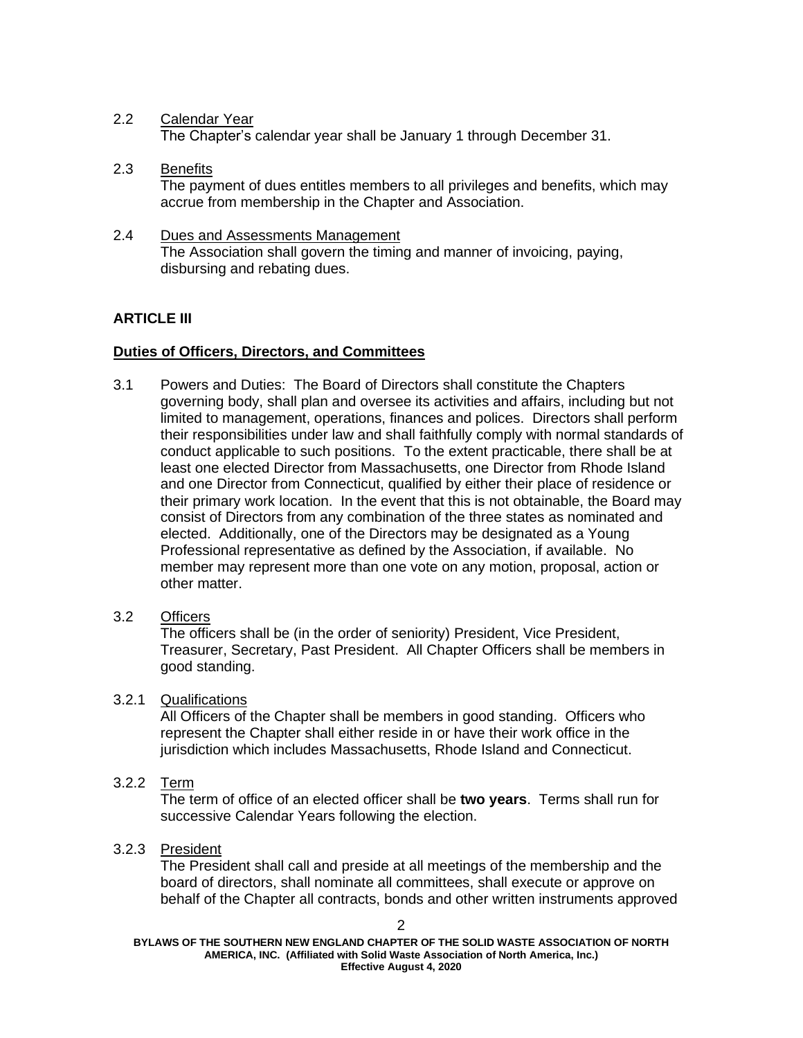## 2.2 Calendar Year

The Chapter's calendar year shall be January 1 through December 31.

- 2.3 Benefits The payment of dues entitles members to all privileges and benefits, which may accrue from membership in the Chapter and Association.
- 2.4 Dues and Assessments Management The Association shall govern the timing and manner of invoicing, paying, disbursing and rebating dues.

## **ARTICLE III**

## **Duties of Officers, Directors, and Committees**

- 3.1 Powers and Duties: The Board of Directors shall constitute the Chapters governing body, shall plan and oversee its activities and affairs, including but not limited to management, operations, finances and polices. Directors shall perform their responsibilities under law and shall faithfully comply with normal standards of conduct applicable to such positions. To the extent practicable, there shall be at least one elected Director from Massachusetts, one Director from Rhode Island and one Director from Connecticut, qualified by either their place of residence or their primary work location. In the event that this is not obtainable, the Board may consist of Directors from any combination of the three states as nominated and elected. Additionally, one of the Directors may be designated as a Young Professional representative as defined by the Association, if available. No member may represent more than one vote on any motion, proposal, action or other matter.
- 3.2 Officers

The officers shall be (in the order of seniority) President, Vice President, Treasurer, Secretary, Past President. All Chapter Officers shall be members in good standing.

## 3.2.1 Qualifications

All Officers of the Chapter shall be members in good standing. Officers who represent the Chapter shall either reside in or have their work office in the jurisdiction which includes Massachusetts, Rhode Island and Connecticut.

3.2.2 Term

The term of office of an elected officer shall be **two years**. Terms shall run for successive Calendar Years following the election.

## 3.2.3 President

The President shall call and preside at all meetings of the membership and the board of directors, shall nominate all committees, shall execute or approve on behalf of the Chapter all contracts, bonds and other written instruments approved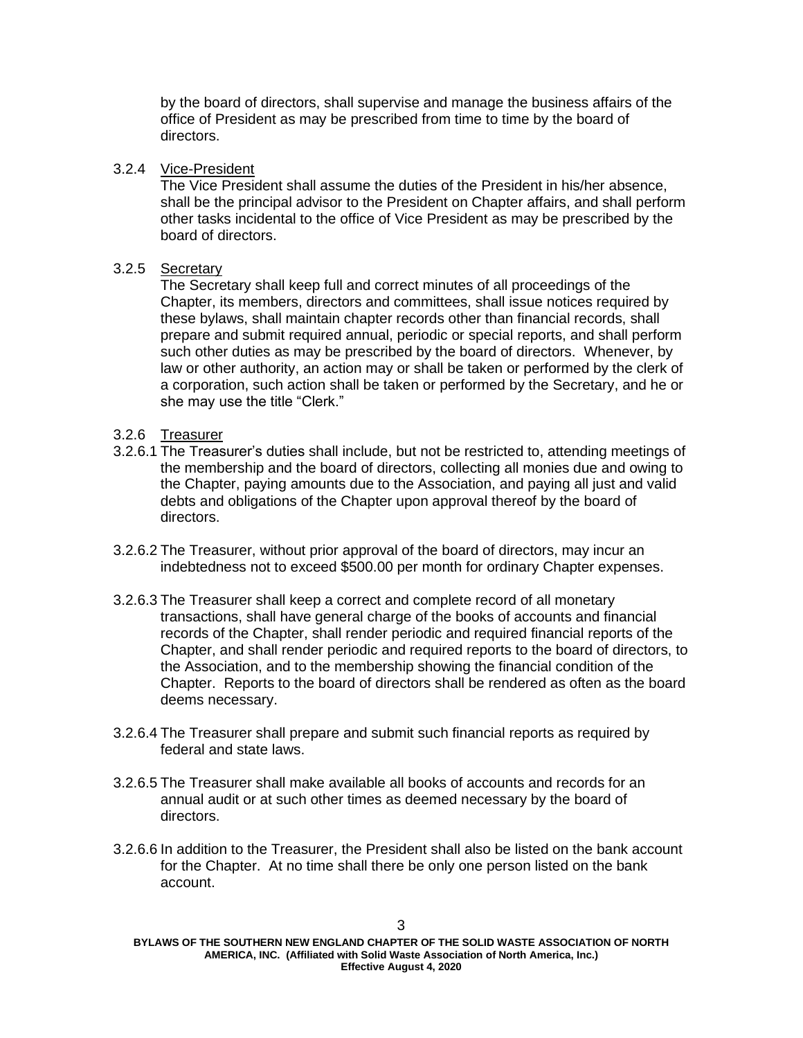by the board of directors, shall supervise and manage the business affairs of the office of President as may be prescribed from time to time by the board of directors.

#### 3.2.4 Vice-President

The Vice President shall assume the duties of the President in his/her absence, shall be the principal advisor to the President on Chapter affairs, and shall perform other tasks incidental to the office of Vice President as may be prescribed by the board of directors.

## 3.2.5 Secretary

The Secretary shall keep full and correct minutes of all proceedings of the Chapter, its members, directors and committees, shall issue notices required by these bylaws, shall maintain chapter records other than financial records, shall prepare and submit required annual, periodic or special reports, and shall perform such other duties as may be prescribed by the board of directors. Whenever, by law or other authority, an action may or shall be taken or performed by the clerk of a corporation, such action shall be taken or performed by the Secretary, and he or she may use the title "Clerk."

#### 3.2.6 Treasurer

- 3.2.6.1 The Treasurer's duties shall include, but not be restricted to, attending meetings of the membership and the board of directors, collecting all monies due and owing to the Chapter, paying amounts due to the Association, and paying all just and valid debts and obligations of the Chapter upon approval thereof by the board of directors.
- 3.2.6.2 The Treasurer, without prior approval of the board of directors, may incur an indebtedness not to exceed \$500.00 per month for ordinary Chapter expenses.
- 3.2.6.3 The Treasurer shall keep a correct and complete record of all monetary transactions, shall have general charge of the books of accounts and financial records of the Chapter, shall render periodic and required financial reports of the Chapter, and shall render periodic and required reports to the board of directors, to the Association, and to the membership showing the financial condition of the Chapter. Reports to the board of directors shall be rendered as often as the board deems necessary.
- 3.2.6.4 The Treasurer shall prepare and submit such financial reports as required by federal and state laws.
- 3.2.6.5 The Treasurer shall make available all books of accounts and records for an annual audit or at such other times as deemed necessary by the board of directors.
- 3.2.6.6 In addition to the Treasurer, the President shall also be listed on the bank account for the Chapter. At no time shall there be only one person listed on the bank account.

**BYLAWS OF THE SOUTHERN NEW ENGLAND CHAPTER OF THE SOLID WASTE ASSOCIATION OF NORTH AMERICA, INC. (Affiliated with Solid Waste Association of North America, Inc.) Effective August 4, 2020**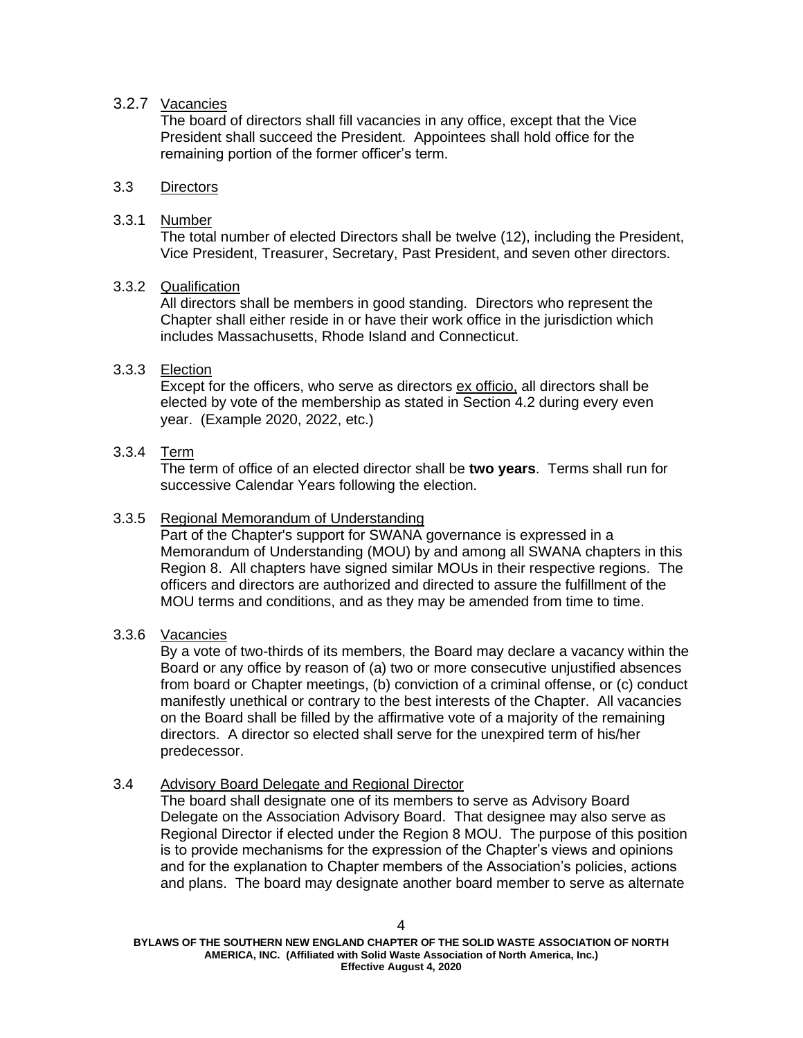## 3.2.7 Vacancies

The board of directors shall fill vacancies in any office, except that the Vice President shall succeed the President. Appointees shall hold office for the remaining portion of the former officer's term.

#### 3.3 Directors

#### 3.3.1 Number

The total number of elected Directors shall be twelve (12), including the President, Vice President, Treasurer, Secretary, Past President, and seven other directors.

#### 3.3.2 Qualification

All directors shall be members in good standing. Directors who represent the Chapter shall either reside in or have their work office in the jurisdiction which includes Massachusetts, Rhode Island and Connecticut.

## 3.3.3 Election

Except for the officers, who serve as directors ex officio, all directors shall be elected by vote of the membership as stated in Section 4.2 during every even year. (Example 2020, 2022, etc.)

#### 3.3.4 Term

The term of office of an elected director shall be **two years**. Terms shall run for successive Calendar Years following the election.

#### 3.3.5 Regional Memorandum of Understanding

Part of the Chapter's support for SWANA governance is expressed in a Memorandum of Understanding (MOU) by and among all SWANA chapters in this Region 8. All chapters have signed similar MOUs in their respective regions. The officers and directors are authorized and directed to assure the fulfillment of the MOU terms and conditions, and as they may be amended from time to time.

## 3.3.6 Vacancies

By a vote of two-thirds of its members, the Board may declare a vacancy within the Board or any office by reason of (a) two or more consecutive unjustified absences from board or Chapter meetings, (b) conviction of a criminal offense, or (c) conduct manifestly unethical or contrary to the best interests of the Chapter. All vacancies on the Board shall be filled by the affirmative vote of a majority of the remaining directors. A director so elected shall serve for the unexpired term of his/her predecessor.

#### 3.4 Advisory Board Delegate and Regional Director

The board shall designate one of its members to serve as Advisory Board Delegate on the Association Advisory Board. That designee may also serve as Regional Director if elected under the Region 8 MOU. The purpose of this position is to provide mechanisms for the expression of the Chapter's views and opinions and for the explanation to Chapter members of the Association's policies, actions and plans. The board may designate another board member to serve as alternate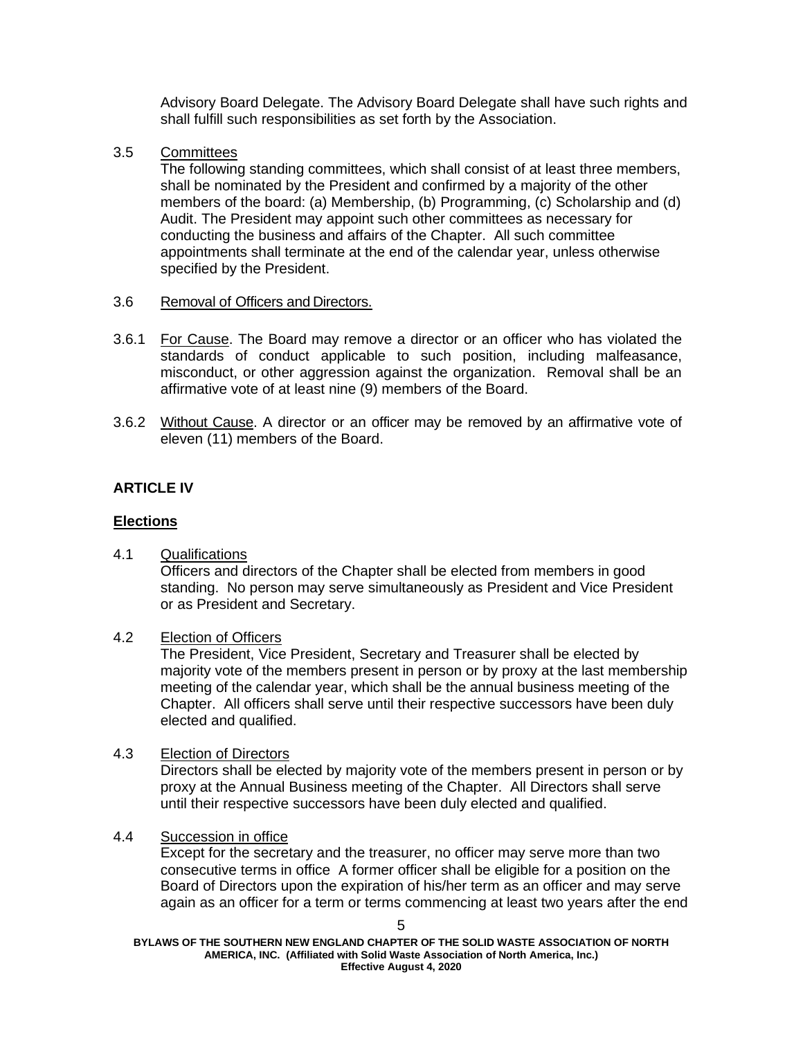Advisory Board Delegate. The Advisory Board Delegate shall have such rights and shall fulfill such responsibilities as set forth by the Association.

3.5 Committees

The following standing committees, which shall consist of at least three members, shall be nominated by the President and confirmed by a majority of the other members of the board: (a) Membership, (b) Programming, (c) Scholarship and (d) Audit. The President may appoint such other committees as necessary for conducting the business and affairs of the Chapter. All such committee appointments shall terminate at the end of the calendar year, unless otherwise specified by the President.

- 3.6 Removal of Officers and Directors.
- 3.6.1 For Cause. The Board may remove a director or an officer who has violated the standards of conduct applicable to such position, including malfeasance, misconduct, or other aggression against the organization. Removal shall be an affirmative vote of at least nine (9) members of the Board.
- 3.6.2 Without Cause. A director or an officer may be removed by an affirmative vote of eleven (11) members of the Board.

## **ARTICLE IV**

## **Elections**

4.1 Qualifications

Officers and directors of the Chapter shall be elected from members in good standing. No person may serve simultaneously as President and Vice President or as President and Secretary.

## 4.2 Election of Officers

The President, Vice President, Secretary and Treasurer shall be elected by majority vote of the members present in person or by proxy at the last membership meeting of the calendar year, which shall be the annual business meeting of the Chapter. All officers shall serve until their respective successors have been duly elected and qualified.

## 4.3 Election of Directors

Directors shall be elected by majority vote of the members present in person or by proxy at the Annual Business meeting of the Chapter. All Directors shall serve until their respective successors have been duly elected and qualified.

## 4.4 Succession in office

Except for the secretary and the treasurer, no officer may serve more than two consecutive terms in office A former officer shall be eligible for a position on the Board of Directors upon the expiration of his/her term as an officer and may serve again as an officer for a term or terms commencing at least two years after the end

**BYLAWS OF THE SOUTHERN NEW ENGLAND CHAPTER OF THE SOLID WASTE ASSOCIATION OF NORTH AMERICA, INC. (Affiliated with Solid Waste Association of North America, Inc.) Effective August 4, 2020**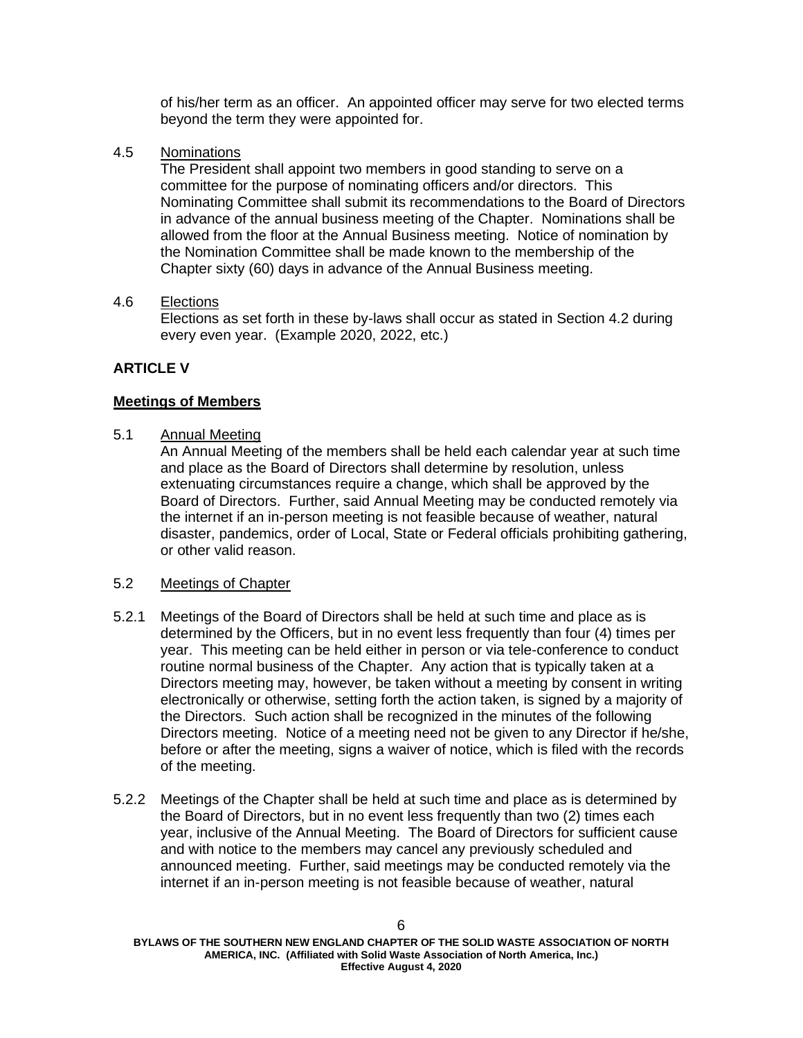of his/her term as an officer. An appointed officer may serve for two elected terms beyond the term they were appointed for.

4.5 Nominations

The President shall appoint two members in good standing to serve on a committee for the purpose of nominating officers and/or directors. This Nominating Committee shall submit its recommendations to the Board of Directors in advance of the annual business meeting of the Chapter. Nominations shall be allowed from the floor at the Annual Business meeting. Notice of nomination by the Nomination Committee shall be made known to the membership of the Chapter sixty (60) days in advance of the Annual Business meeting.

#### 4.6 Elections

Elections as set forth in these by-laws shall occur as stated in Section 4.2 during every even year. (Example 2020, 2022, etc.)

## **ARTICLE V**

#### **Meetings of Members**

5.1 Annual Meeting

An Annual Meeting of the members shall be held each calendar year at such time and place as the Board of Directors shall determine by resolution, unless extenuating circumstances require a change, which shall be approved by the Board of Directors. Further, said Annual Meeting may be conducted remotely via the internet if an in-person meeting is not feasible because of weather, natural disaster, pandemics, order of Local, State or Federal officials prohibiting gathering, or other valid reason.

#### 5.2 Meetings of Chapter

- 5.2.1 Meetings of the Board of Directors shall be held at such time and place as is determined by the Officers, but in no event less frequently than four (4) times per year. This meeting can be held either in person or via tele-conference to conduct routine normal business of the Chapter. Any action that is typically taken at a Directors meeting may, however, be taken without a meeting by consent in writing electronically or otherwise, setting forth the action taken, is signed by a majority of the Directors. Such action shall be recognized in the minutes of the following Directors meeting. Notice of a meeting need not be given to any Director if he/she, before or after the meeting, signs a waiver of notice, which is filed with the records of the meeting.
- 5.2.2 Meetings of the Chapter shall be held at such time and place as is determined by the Board of Directors, but in no event less frequently than two (2) times each year, inclusive of the Annual Meeting. The Board of Directors for sufficient cause and with notice to the members may cancel any previously scheduled and announced meeting. Further, said meetings may be conducted remotely via the internet if an in-person meeting is not feasible because of weather, natural

**BYLAWS OF THE SOUTHERN NEW ENGLAND CHAPTER OF THE SOLID WASTE ASSOCIATION OF NORTH AMERICA, INC. (Affiliated with Solid Waste Association of North America, Inc.) Effective August 4, 2020**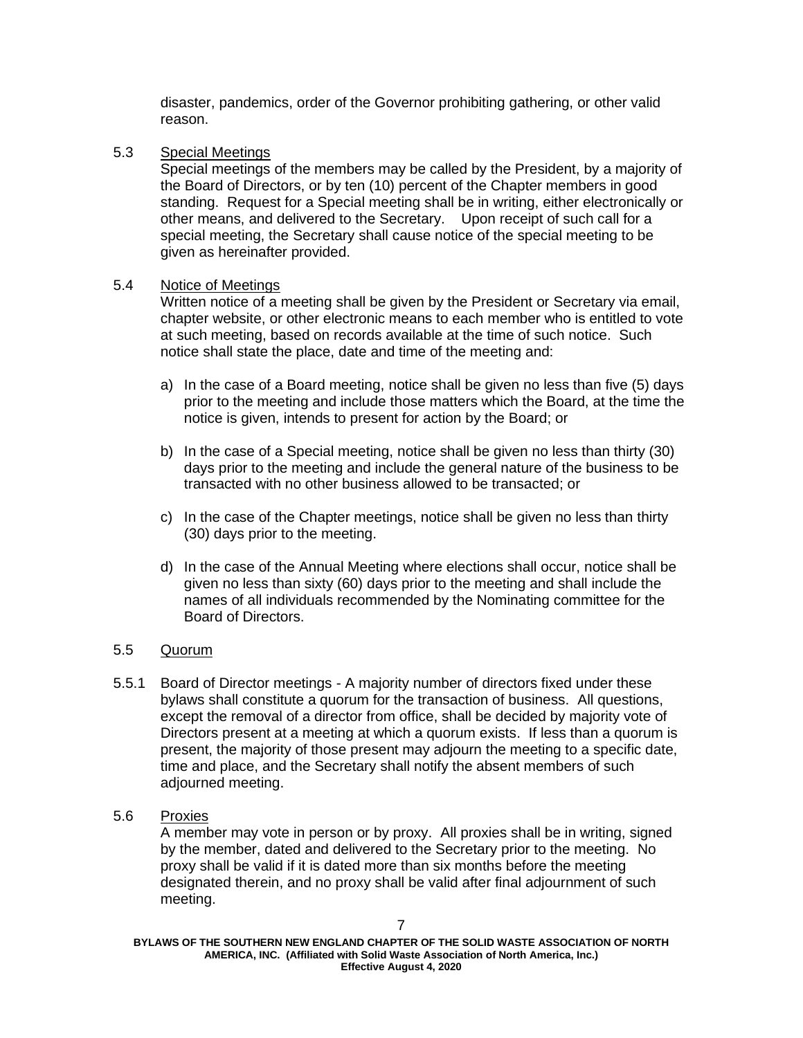disaster, pandemics, order of the Governor prohibiting gathering, or other valid reason.

5.3 Special Meetings

Special meetings of the members may be called by the President, by a majority of the Board of Directors, or by ten (10) percent of the Chapter members in good standing. Request for a Special meeting shall be in writing, either electronically or other means, and delivered to the Secretary. Upon receipt of such call for a special meeting, the Secretary shall cause notice of the special meeting to be given as hereinafter provided.

#### 5.4 Notice of Meetings

Written notice of a meeting shall be given by the President or Secretary via email, chapter website, or other electronic means to each member who is entitled to vote at such meeting, based on records available at the time of such notice. Such notice shall state the place, date and time of the meeting and:

- a) In the case of a Board meeting, notice shall be given no less than five (5) days prior to the meeting and include those matters which the Board, at the time the notice is given, intends to present for action by the Board; or
- b) In the case of a Special meeting, notice shall be given no less than thirty (30) days prior to the meeting and include the general nature of the business to be transacted with no other business allowed to be transacted; or
- c) In the case of the Chapter meetings, notice shall be given no less than thirty (30) days prior to the meeting.
- d) In the case of the Annual Meeting where elections shall occur, notice shall be given no less than sixty (60) days prior to the meeting and shall include the names of all individuals recommended by the Nominating committee for the Board of Directors.

## 5.5 Quorum

- 5.5.1 Board of Director meetings A majority number of directors fixed under these bylaws shall constitute a quorum for the transaction of business. All questions, except the removal of a director from office, shall be decided by majority vote of Directors present at a meeting at which a quorum exists. If less than a quorum is present, the majority of those present may adjourn the meeting to a specific date, time and place, and the Secretary shall notify the absent members of such adjourned meeting.
- 5.6 Proxies

A member may vote in person or by proxy. All proxies shall be in writing, signed by the member, dated and delivered to the Secretary prior to the meeting. No proxy shall be valid if it is dated more than six months before the meeting designated therein, and no proxy shall be valid after final adjournment of such meeting.

**BYLAWS OF THE SOUTHERN NEW ENGLAND CHAPTER OF THE SOLID WASTE ASSOCIATION OF NORTH AMERICA, INC. (Affiliated with Solid Waste Association of North America, Inc.) Effective August 4, 2020**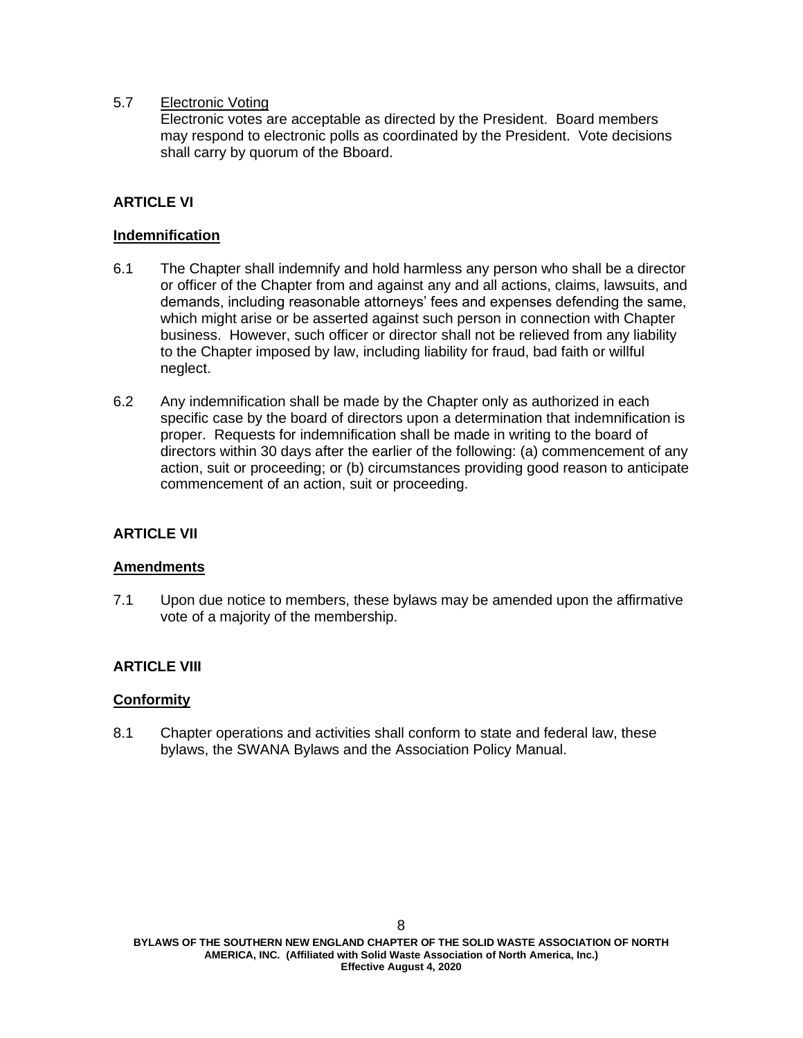### 5.7 Electronic Voting

Electronic votes are acceptable as directed by the President. Board members may respond to electronic polls as coordinated by the President. Vote decisions shall carry by quorum of the Bboard.

## **ARTICLE VI**

#### **Indemnification**

- 6.1 The Chapter shall indemnify and hold harmless any person who shall be a director or officer of the Chapter from and against any and all actions, claims, lawsuits, and demands, including reasonable attorneys' fees and expenses defending the same, which might arise or be asserted against such person in connection with Chapter business. However, such officer or director shall not be relieved from any liability to the Chapter imposed by law, including liability for fraud, bad faith or willful neglect.
- 6.2 Any indemnification shall be made by the Chapter only as authorized in each specific case by the board of directors upon a determination that indemnification is proper. Requests for indemnification shall be made in writing to the board of directors within 30 days after the earlier of the following: (a) commencement of any action, suit or proceeding; or (b) circumstances providing good reason to anticipate commencement of an action, suit or proceeding.

## **ARTICLE VII**

## **Amendments**

7.1 Upon due notice to members, these bylaws may be amended upon the affirmative vote of a majority of the membership.

## **ARTICLE VIII**

#### **Conformity**

8.1 Chapter operations and activities shall conform to state and federal law, these bylaws, the SWANA Bylaws and the Association Policy Manual.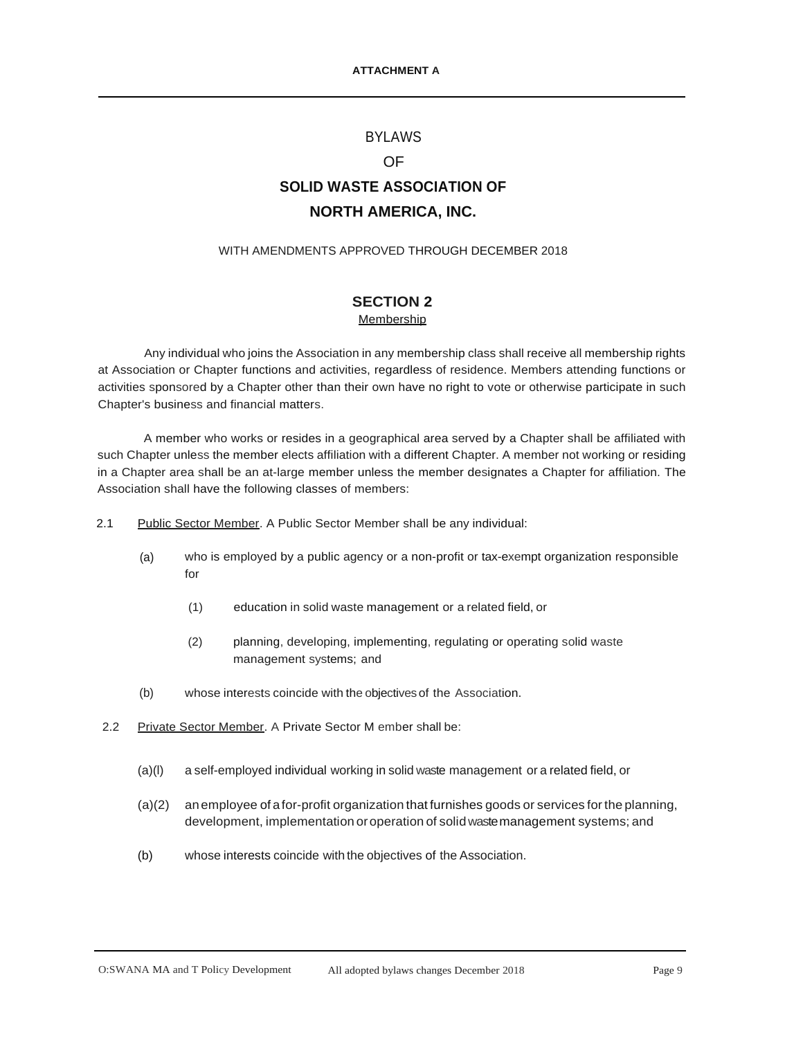#### BYLAWS

#### OF

# **SOLID WASTE ASSOCIATION OF NORTH AMERICA, INC.**

#### WITH AMENDMENTS APPROVED THROUGH DECEMBER 2018

#### **SECTION 2 Membership**

Any individual who joins the Association in any membership class shall receive all membership rights at Association or Chapter functions and activities, regardless of residence. Members attending functions or activities sponsored by a Chapter other than their own have no right to vote or otherwise participate in such Chapter's business and financial matters.

A member who works or resides in a geographical area served by a Chapter shall be affiliated with such Chapter unless the member elects affiliation with a different Chapter. A member not working or residing in a Chapter area shall be an at-large member unless the member designates a Chapter for affiliation. The Association shall have the following classes of members:

- 2.1 Public Sector Member. A Public Sector Member shall be any individual:
	- (a) who is employed by a public agency or a non-profit or tax-exempt organization responsible for
		- (1) education in solid waste management or a related field, or
		- (2) planning, developing, implementing, regulating or operating solid waste management systems; and
	- (b) whose interests coincide with the objectivesof the Association.
- 2.2 Private Sector Member. A Private Sector M ember shall be:
	- (a)(l) a self-employed individual working in solid waste management or a related field, or
	- (a)(2) an employee of afor-profit organization that furnishes goods or services forthe planning, development, implementation oroperation of solidwastemanagement systems; and
	- (b) whose interests coincide with the objectives of the Association.